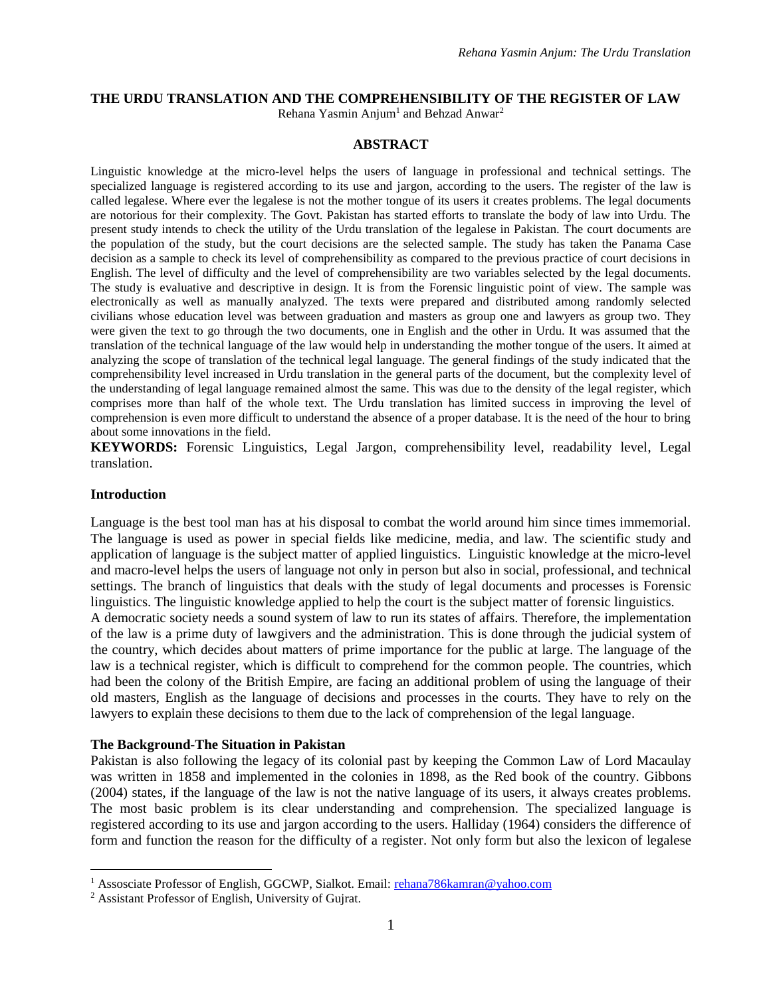#### **THE URDU TRANSLATION AND THE COMPREHENSIBILITY OF THE REGISTER OF LAW**

Rehana Yasmin Anjum<sup>1</sup> and Behzad Anwar<sup>2</sup>

#### **ABSTRACT**

Linguistic knowledge at the micro-level helps the users of language in professional and technical settings. The specialized language is registered according to its use and jargon, according to the users. The register of the law is called legalese. Where ever the legalese is not the mother tongue of its users it creates problems. The legal documents are notorious for their complexity. The Govt. Pakistan has started efforts to translate the body of law into Urdu. The present study intends to check the utility of the Urdu translation of the legalese in Pakistan. The court documents are the population of the study, but the court decisions are the selected sample. The study has taken the Panama Case decision as a sample to check its level of comprehensibility as compared to the previous practice of court decisions in English. The level of difficulty and the level of comprehensibility are two variables selected by the legal documents. The study is evaluative and descriptive in design. It is from the Forensic linguistic point of view. The sample was electronically as well as manually analyzed. The texts were prepared and distributed among randomly selected civilians whose education level was between graduation and masters as group one and lawyers as group two. They were given the text to go through the two documents, one in English and the other in Urdu. It was assumed that the translation of the technical language of the law would help in understanding the mother tongue of the users. It aimed at analyzing the scope of translation of the technical legal language. The general findings of the study indicated that the comprehensibility level increased in Urdu translation in the general parts of the document, but the complexity level of the understanding of legal language remained almost the same. This was due to the density of the legal register, which comprises more than half of the whole text. The Urdu translation has limited success in improving the level of comprehension is even more difficult to understand the absence of a proper database. It is the need of the hour to bring about some innovations in the field.

**KEYWORDS:** Forensic Linguistics, Legal Jargon, comprehensibility level, readability level, Legal translation.

#### **Introduction**

 $\overline{a}$ 

Language is the best tool man has at his disposal to combat the world around him since times immemorial. The language is used as power in special fields like medicine, media, and law. The scientific study and application of language is the subject matter of applied linguistics. Linguistic knowledge at the micro-level and macro-level helps the users of language not only in person but also in social, professional, and technical settings. The branch of linguistics that deals with the study of legal documents and processes is Forensic linguistics. The linguistic knowledge applied to help the court is the subject matter of forensic linguistics. A democratic society needs a sound system of law to run its states of affairs. Therefore, the implementation of the law is a prime duty of lawgivers and the administration. This is done through the judicial system of the country, which decides about matters of prime importance for the public at large. The language of the law is a technical register, which is difficult to comprehend for the common people. The countries, which had been the colony of the British Empire, are facing an additional problem of using the language of their old masters, English as the language of decisions and processes in the courts. They have to rely on the

#### **The Background-The Situation in Pakistan**

Pakistan is also following the legacy of its colonial past by keeping the Common Law of Lord Macaulay was written in 1858 and implemented in the colonies in 1898, as the Red book of the country. Gibbons (2004) states, if the language of the law is not the native language of its users, it always creates problems. The most basic problem is its clear understanding and comprehension. The specialized language is registered according to its use and jargon according to the users. Halliday (1964) considers the difference of form and function the reason for the difficulty of a register. Not only form but also the lexicon of legalese

lawyers to explain these decisions to them due to the lack of comprehension of the legal language.

<sup>&</sup>lt;sup>1</sup> Assosciate Professor of English, GGCWP, Sialkot. Email: [rehana786kamran@yahoo.com](mailto:rehana786kamran@yahoo.com)

<sup>2</sup> Assistant Professor of English, University of Gujrat.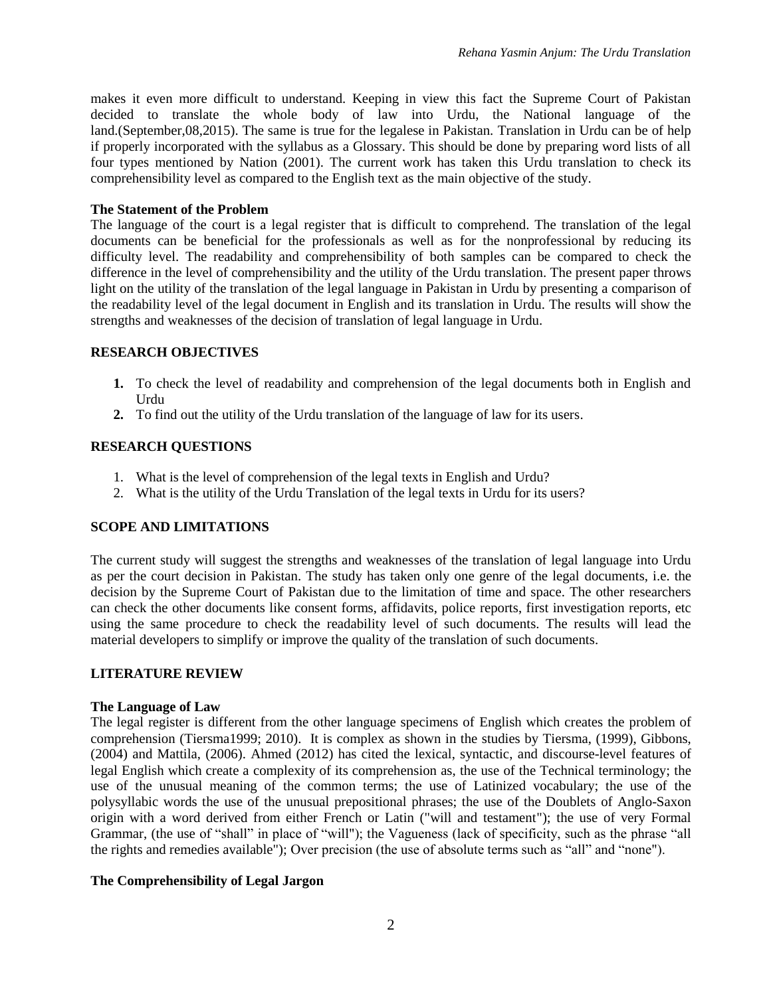makes it even more difficult to understand. Keeping in view this fact the Supreme Court of Pakistan decided to translate the whole body of law into Urdu, the National language of the land.(September,08,2015). The same is true for the legalese in Pakistan. Translation in Urdu can be of help if properly incorporated with the syllabus as a Glossary. This should be done by preparing word lists of all four types mentioned by Nation (2001). The current work has taken this Urdu translation to check its comprehensibility level as compared to the English text as the main objective of the study.

#### **The Statement of the Problem**

The language of the court is a legal register that is difficult to comprehend. The translation of the legal documents can be beneficial for the professionals as well as for the nonprofessional by reducing its difficulty level. The readability and comprehensibility of both samples can be compared to check the difference in the level of comprehensibility and the utility of the Urdu translation. The present paper throws light on the utility of the translation of the legal language in Pakistan in Urdu by presenting a comparison of the readability level of the legal document in English and its translation in Urdu. The results will show the strengths and weaknesses of the decision of translation of legal language in Urdu.

#### **RESEARCH OBJECTIVES**

- **1.** To check the level of readability and comprehension of the legal documents both in English and Urdu
- **2.** To find out the utility of the Urdu translation of the language of law for its users.

#### **RESEARCH QUESTIONS**

- 1. What is the level of comprehension of the legal texts in English and Urdu?
- 2. What is the utility of the Urdu Translation of the legal texts in Urdu for its users?

#### **SCOPE AND LIMITATIONS**

The current study will suggest the strengths and weaknesses of the translation of legal language into Urdu as per the court decision in Pakistan. The study has taken only one genre of the legal documents, i.e. the decision by the Supreme Court of Pakistan due to the limitation of time and space. The other researchers can check the other documents like consent forms, affidavits, police reports, first investigation reports, etc using the same procedure to check the readability level of such documents. The results will lead the material developers to simplify or improve the quality of the translation of such documents.

#### **LITERATURE REVIEW**

#### **The Language of Law**

The legal register is different from the other language specimens of English which creates the problem of comprehension (Tiersma1999; 2010). It is complex as shown in the studies by Tiersma, (1999), Gibbons, (2004) and Mattila, (2006). Ahmed (2012) has cited the lexical, syntactic, and discourse-level features of legal English which create a complexity of its comprehension as, the use of the Technical terminology; the use of the unusual meaning of the common terms; the use of Latinized vocabulary; the use of the polysyllabic words the use of the unusual prepositional phrases; the use of the Doublets of Anglo-Saxon origin with a word derived from either French or Latin ("will and testament"); the use of very Formal Grammar, (the use of "shall" in place of "will"); the Vagueness (lack of specificity, such as the phrase "all the rights and remedies available"); Over precision (the use of absolute terms such as "all" and "none").

#### **The Comprehensibility of Legal Jargon**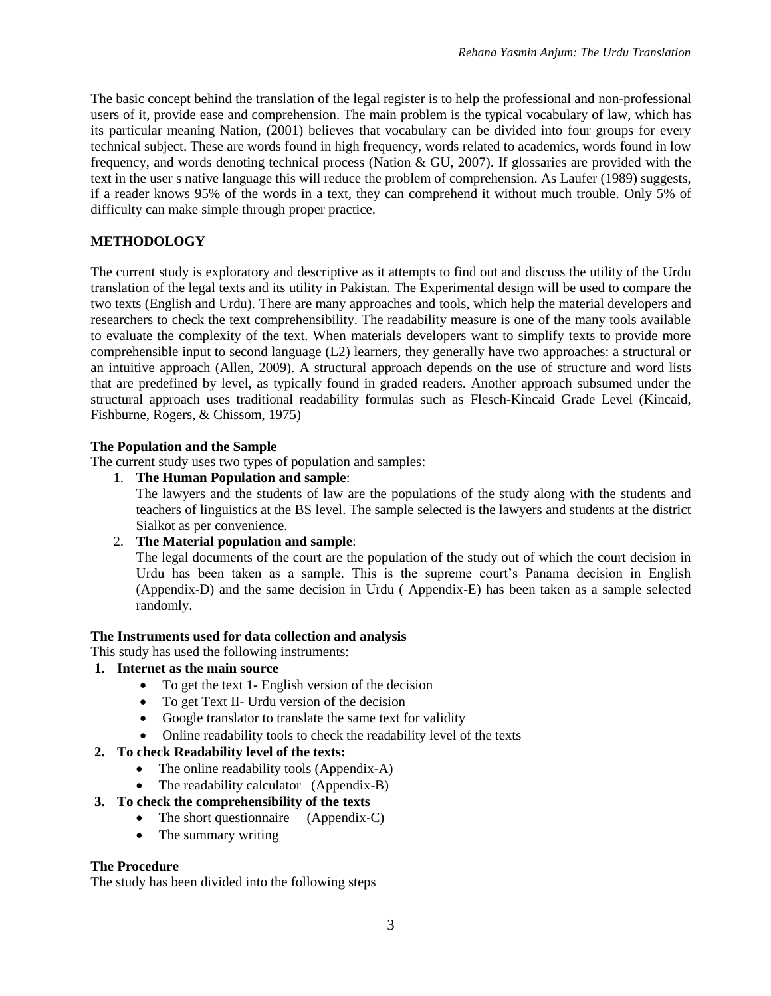The basic concept behind the translation of the legal register is to help the professional and non-professional users of it, provide ease and comprehension. The main problem is the typical vocabulary of law, which has its particular meaning Nation, (2001) believes that vocabulary can be divided into four groups for every technical subject. These are words found in high frequency, words related to academics, words found in low frequency, and words denoting technical process (Nation & GU, 2007). If glossaries are provided with the text in the user s native language this will reduce the problem of comprehension. As Laufer (1989) suggests, if a reader knows 95% of the words in a text, they can comprehend it without much trouble. Only 5% of difficulty can make simple through proper practice.

# **METHODOLOGY**

The current study is exploratory and descriptive as it attempts to find out and discuss the utility of the Urdu translation of the legal texts and its utility in Pakistan. The Experimental design will be used to compare the two texts (English and Urdu). There are many approaches and tools, which help the material developers and researchers to check the text comprehensibility. The readability measure is one of the many tools available to evaluate the complexity of the text. When materials developers want to simplify texts to provide more comprehensible input to second language (L2) learners, they generally have two approaches: a structural or an intuitive approach (Allen, 2009). A structural approach depends on the use of structure and word lists that are predefined by level, as typically found in graded readers. Another approach subsumed under the structural approach uses traditional readability formulas such as Flesch-Kincaid Grade Level (Kincaid, Fishburne, Rogers, & Chissom, 1975)

## **The Population and the Sample**

The current study uses two types of population and samples:

1. **The Human Population and sample**:

The lawyers and the students of law are the populations of the study along with the students and teachers of linguistics at the BS level. The sample selected is the lawyers and students at the district Sialkot as per convenience.

2. **The Material population and sample**:

The legal documents of the court are the population of the study out of which the court decision in Urdu has been taken as a sample. This is the supreme court's Panama decision in English (Appendix-D) and the same decision in Urdu ( Appendix-E) has been taken as a sample selected randomly.

## **The Instruments used for data collection and analysis**

This study has used the following instruments:

- **1. Internet as the main source**
	- To get the text 1- English version of the decision
	- To get Text II- Urdu version of the decision
	- Google translator to translate the same text for validity
	- Online readability tools to check the readability level of the texts

# **2. To check Readability level of the texts:**

- The online readability tools (Appendix-A)
- The readability calculator (Appendix-B)
- **3. To check the comprehensibility of the texts**
	- The short questionnaire (Appendix-C)
	- The summary writing

## **The Procedure**

The study has been divided into the following steps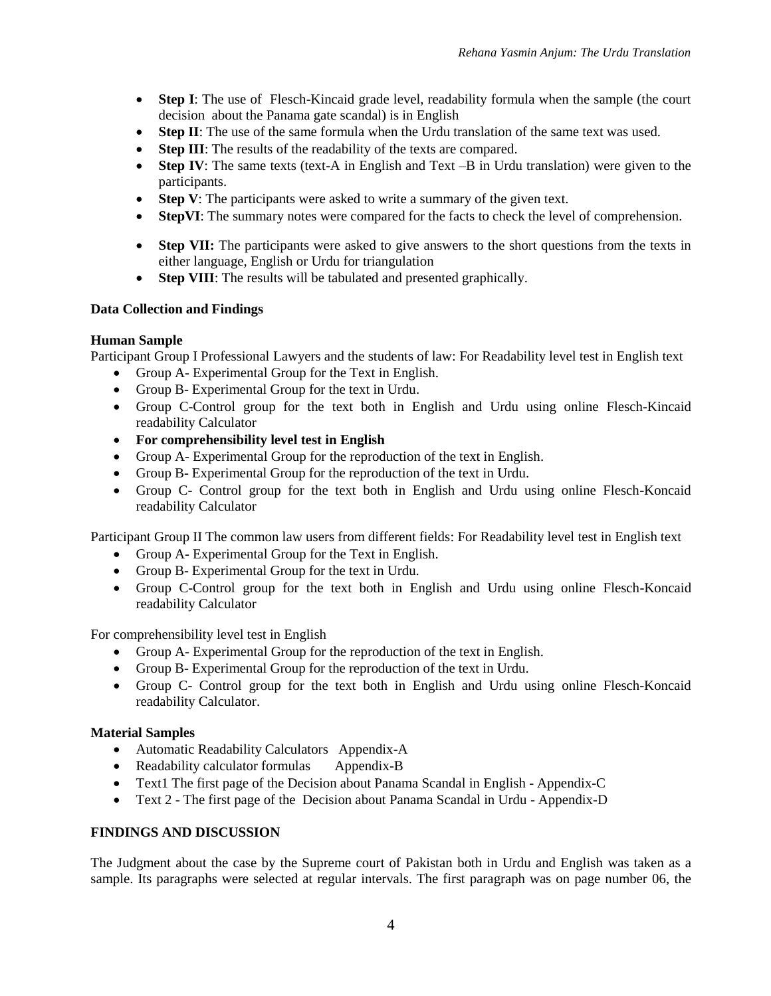- Step I: The use of Flesch-Kincaid grade level, readability formula when the sample (the court decision about the Panama gate scandal) is in English
- **Step II**: The use of the same formula when the Urdu translation of the same text was used.
- **Step III**: The results of the readability of the texts are compared.
- **Step IV:** The same texts (text-A in English and Text –B in Urdu translation) were given to the participants.
- **Step V**: The participants were asked to write a summary of the given text.
- **StepVI**: The summary notes were compared for the facts to check the level of comprehension.
- **Step VII:** The participants were asked to give answers to the short questions from the texts in either language, English or Urdu for triangulation
- **Step VIII**: The results will be tabulated and presented graphically.

#### **Data Collection and Findings**

#### **Human Sample**

Participant Group I Professional Lawyers and the students of law: For Readability level test in English text

- Group A- Experimental Group for the Text in English.
- Group B- Experimental Group for the text in Urdu.
- Group C-Control group for the text both in English and Urdu using online Flesch-Kincaid readability Calculator
- **For comprehensibility level test in English**
- Group A- Experimental Group for the reproduction of the text in English.
- Group B- Experimental Group for the reproduction of the text in Urdu.
- Group C- Control group for the text both in English and Urdu using online Flesch-Koncaid readability Calculator

Participant Group II The common law users from different fields: For Readability level test in English text

- Group A- Experimental Group for the Text in English.
- Group B- Experimental Group for the text in Urdu.
- Group C-Control group for the text both in English and Urdu using online Flesch-Koncaid readability Calculator

For comprehensibility level test in English

- Group A- Experimental Group for the reproduction of the text in English.
- Group B- Experimental Group for the reproduction of the text in Urdu.
- Group C- Control group for the text both in English and Urdu using online Flesch-Koncaid readability Calculator.

#### **Material Samples**

- Automatic Readability Calculators Appendix-A
- Readability calculator formulas Appendix-B
- Text1 The first page of the Decision about Panama Scandal in English Appendix-C
- Text 2 The first page of the Decision about Panama Scandal in Urdu Appendix-D

#### **FINDINGS AND DISCUSSION**

The Judgment about the case by the Supreme court of Pakistan both in Urdu and English was taken as a sample. Its paragraphs were selected at regular intervals. The first paragraph was on page number 06, the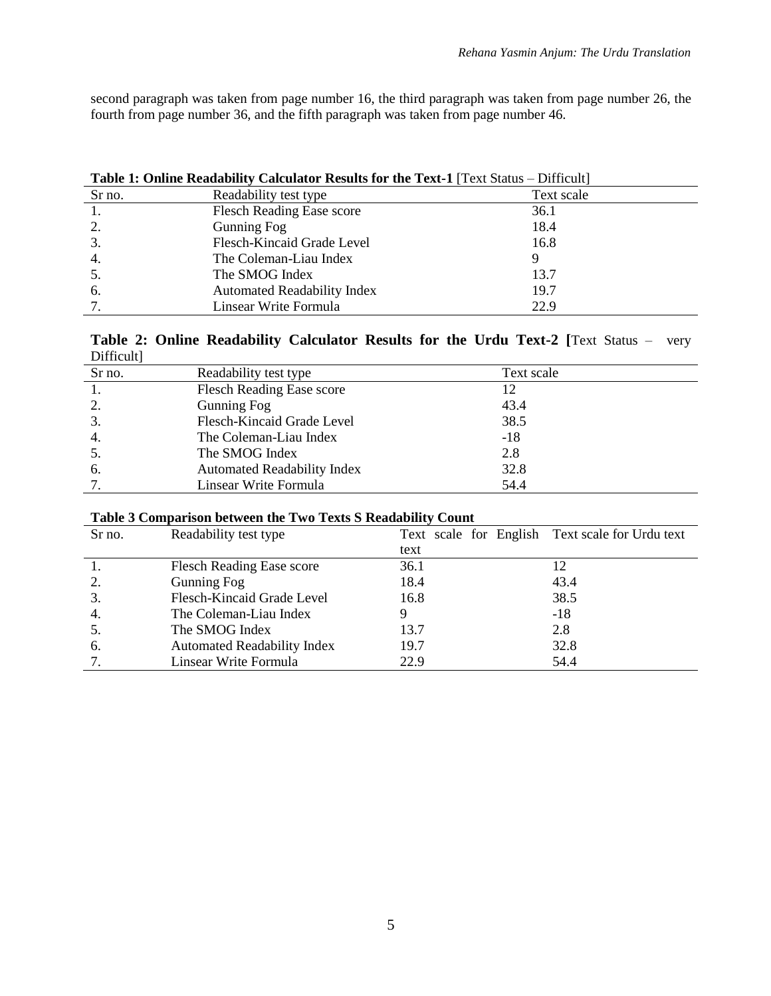second paragraph was taken from page number 16, the third paragraph was taken from page number 26, the fourth from page number 36, and the fifth paragraph was taken from page number 46.

| <b>Table 1: Online Readability Calculator Results for the Text-1</b> [Text Status – Difficult] |                                    |            |  |  |
|------------------------------------------------------------------------------------------------|------------------------------------|------------|--|--|
| Sr no.                                                                                         | Readability test type              | Text scale |  |  |
|                                                                                                | <b>Flesch Reading Ease score</b>   | 36.1       |  |  |
| 2.                                                                                             | Gunning Fog                        | 18.4       |  |  |
| 3.                                                                                             | Flesch-Kincaid Grade Level         | 16.8       |  |  |
| 4.                                                                                             | The Coleman-Liau Index             |            |  |  |
|                                                                                                | The SMOG Index                     | 13.7       |  |  |
| 6.                                                                                             | <b>Automated Readability Index</b> | 19.7       |  |  |
|                                                                                                | Linsear Write Formula              | 22.9       |  |  |

#### **Table 2: Online Readability Calculator Results for the Urdu Text-2 [**Text Status – very Difficult]

| Sr no. | Readability test type              | Text scale |
|--------|------------------------------------|------------|
|        | <b>Flesch Reading Ease score</b>   | 12         |
| 2.     | Gunning Fog                        | 43.4       |
| 3.     | Flesch-Kincaid Grade Level         | 38.5       |
| 4.     | The Coleman-Liau Index             | $-18$      |
| 5.     | The SMOG Index                     | 2.8        |
| 6.     | <b>Automated Readability Index</b> | 32.8       |
|        | Linsear Write Formula              | 54.4       |

| Sr no. | Readability test type              |      | Text scale for English Text scale for Urdu text |
|--------|------------------------------------|------|-------------------------------------------------|
|        |                                    | text |                                                 |
|        | <b>Flesch Reading Ease score</b>   | 36.1 | 12                                              |
| 2.     | Gunning Fog                        | 18.4 | 43.4                                            |
| 3.     | Flesch-Kincaid Grade Level         | 16.8 | 38.5                                            |
| 4.     | The Coleman-Liau Index             |      | $-18$                                           |
|        | The SMOG Index                     | 13.7 | 2.8                                             |
| 6.     | <b>Automated Readability Index</b> | 19.7 | 32.8                                            |
|        | Linsear Write Formula              | 22.9 | 54.4                                            |

## **Table 3 Comparison between the Two Texts S Readability Count**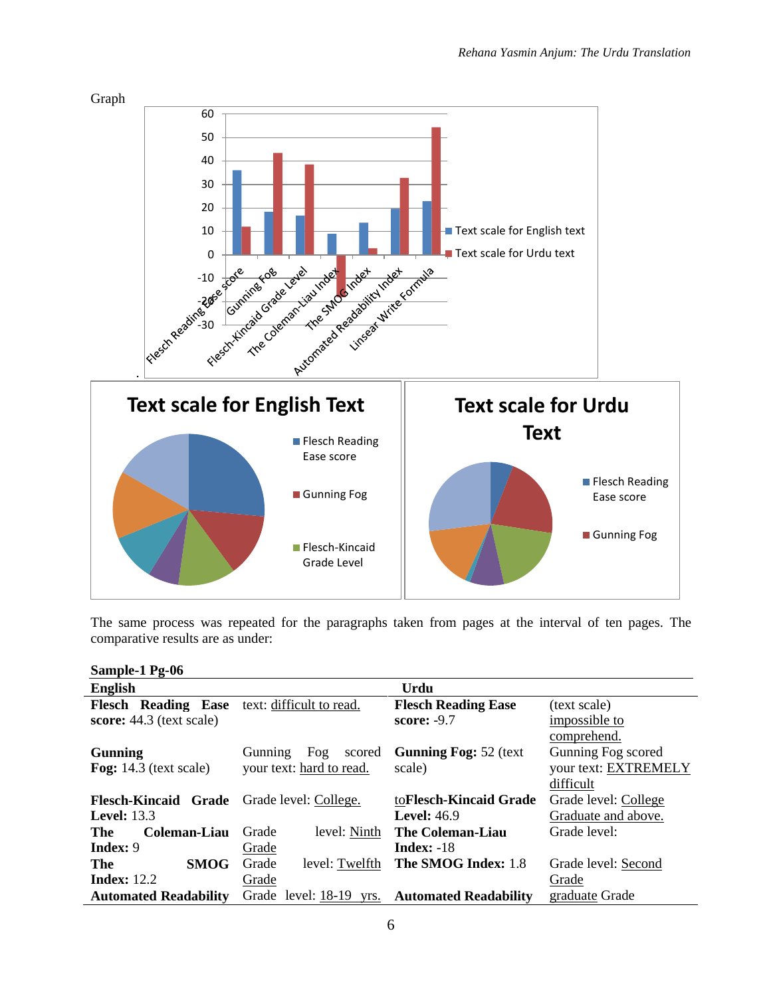

The same process was repeated for the paragraphs taken from pages at the interval of ten pages. The comparative results are as under:

#### **Sample-1 Pg-06**

| <b>English</b>                               |                                 | Urdu                          |                      |  |
|----------------------------------------------|---------------------------------|-------------------------------|----------------------|--|
| Flesch Reading Ease text: difficult to read. |                                 | <b>Flesch Reading Ease</b>    | (text scale)         |  |
| score: 44.3 (text scale)                     |                                 | score: -9.7                   | impossible to        |  |
|                                              |                                 |                               | comprehend.          |  |
| <b>Gunning</b>                               | Fog<br>scored<br><b>Gunning</b> | <b>Gunning Fog: 52 (text)</b> | Gunning Fog scored   |  |
| Fog: $14.3$ (text scale)                     | your text: hard to read.        | scale)                        | your text: EXTREMELY |  |
|                                              |                                 |                               | difficult            |  |
| Flesch-Kincaid Grade Grade level: College.   |                                 | toFlesch-Kincaid Grade        | Grade level: College |  |
| <b>Level:</b> 13.3                           |                                 | Level: $46.9$                 | Graduate and above.  |  |
| Coleman-Liau<br>The                          | level: Ninth<br>Grade           | <b>The Coleman-Liau</b>       | Grade level:         |  |
| <b>Index: 9</b>                              | Grade                           | <b>Index:</b> $-18$           |                      |  |
| <b>SMOG</b><br>The                           | Grade<br>level: Twelfth         | The SMOG Index: 1.8           | Grade level: Second  |  |
| <b>Index:</b> 12.2                           | Grade                           |                               | Grade                |  |
| <b>Automated Readability</b>                 | Grade level: 18-19 yrs.         | <b>Automated Readability</b>  | graduate Grade       |  |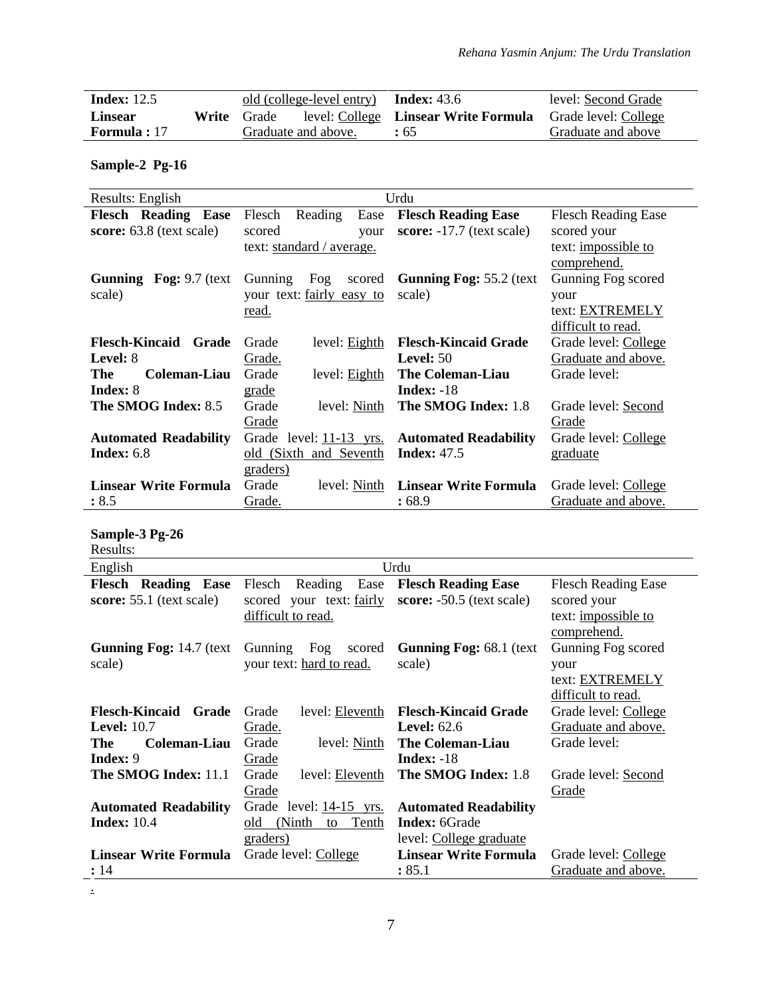| Index: $12.5$       | old (college-level entry) $Index: 43.6$ |                                      | level: Second Grade  |
|---------------------|-----------------------------------------|--------------------------------------|----------------------|
| Linsear             | <b>Write</b> Grade                      | level: College Linsear Write Formula | Grade level: College |
| <b>Formula</b> : 17 | Graduate and above.                     | $\div 65$                            | Graduate and above   |

# **Sample-2 Pg-16**

| Results: English              |                           | Urdu                           |                            |
|-------------------------------|---------------------------|--------------------------------|----------------------------|
| <b>Flesch Reading Ease</b>    | Reading<br>Ease<br>Flesch | <b>Flesch Reading Ease</b>     | <b>Flesch Reading Ease</b> |
| score: 63.8 (text scale)      | scored<br>your            | score: $-17.7$ (text scale)    | scored your                |
|                               | text: standard / average. |                                | text: <i>impossible to</i> |
|                               |                           |                                | comprehend.                |
| <b>Gunning Fog: 9.7 (text</b> | Fog<br>Gunning<br>scored  | <b>Gunning Fog: 55.2 (text</b> | Gunning Fog scored         |
| scale)                        | your text: fairly easy to | scale)                         | your                       |
|                               | read.                     |                                | text: EXTREMELY            |
|                               |                           |                                | difficult to read.         |
| Flesch-Kincaid Grade          | Grade<br>level: Eighth    | <b>Flesch-Kincaid Grade</b>    | Grade level: College       |
| Level: 8                      | <u>Grade.</u>             | Level: $50$                    | Graduate and above.        |
| The<br>Coleman-Liau           | Grade<br>level: Eighth    | The Coleman-Liau               | Grade level:               |
| Index: 8                      | grade                     | <b>Index:</b> $-18$            |                            |
| The SMOG Index: 8.5           | Grade<br>level: Ninth     | The SMOG Index: 1.8            | Grade level: Second        |
|                               | Grade                     |                                | Grade                      |
| <b>Automated Readability</b>  | Grade level: 11-13 yrs.   | <b>Automated Readability</b>   | Grade level: College       |
| Index: $6.8$                  | old (Sixth and Seventh    | <b>Index: 47.5</b>             | graduate                   |
|                               | graders)                  |                                |                            |
| <b>Linsear Write Formula</b>  | Grade<br>level: Ninth     | Linsear Write Formula          | Grade level: College       |
| : 8.5                         | Grade.                    | :68.9                          | Graduate and above.        |

# **Sample-3 Pg-26**

| Results:                                                  |                                                                             |                                                           |                                                                                 |
|-----------------------------------------------------------|-----------------------------------------------------------------------------|-----------------------------------------------------------|---------------------------------------------------------------------------------|
| English                                                   |                                                                             | Urdu                                                      |                                                                                 |
| <b>Flesch Reading</b><br>Ease<br>score: 55.1 (text scale) | Reading<br>Ease<br>Flesch<br>scored your text: fairly<br>difficult to read. | <b>Flesch Reading Ease</b><br>score: $-50.5$ (text scale) | <b>Flesch Reading Ease</b><br>scored your<br>text: impossible to<br>comprehend. |
| <b>Gunning Fog: 14.7 (text</b><br>scale)                  | Fog<br>Gunning<br>scored<br>your text: hard to read.                        | <b>Gunning Fog: 68.1 (text)</b><br>scale)                 | Gunning Fog scored<br>your<br>text: EXTREMELY<br>difficult to read.             |
| <b>Flesch-Kincaid</b><br>Grade                            | level: Eleventh<br>Grade                                                    | <b>Flesch-Kincaid Grade</b>                               | Grade level: College                                                            |
| <b>Level:</b> 10.7                                        | Grade.                                                                      | Level: $62.6$                                             | Graduate and above.                                                             |
| The<br>Coleman-Liau                                       | Grade<br>level: Ninth                                                       | <b>The Coleman-Liau</b>                                   | Grade level:                                                                    |
| <b>Index:</b> 9                                           | Grade                                                                       | Index: $-18$                                              |                                                                                 |
| The SMOG Index: 11.1                                      | level: Eleventh<br>Grade                                                    | The SMOG Index: 1.8                                       | Grade level: Second                                                             |
|                                                           | Grade                                                                       |                                                           | Grade                                                                           |
| <b>Automated Readability</b>                              | Grade level: 14-15 yrs.                                                     | <b>Automated Readability</b>                              |                                                                                 |
| <b>Index: 10.4</b>                                        | (Ninth)<br>old<br>Tenth<br>to                                               | <b>Index: 6Grade</b>                                      |                                                                                 |
|                                                           | graders)                                                                    | level: College graduate                                   |                                                                                 |
| <b>Linsear Write Formula</b>                              | Grade level: College                                                        | <b>Linsear Write Formula</b>                              | Grade level: College                                                            |
| : 14                                                      |                                                                             | : 85.1                                                    | Graduate and above.                                                             |

.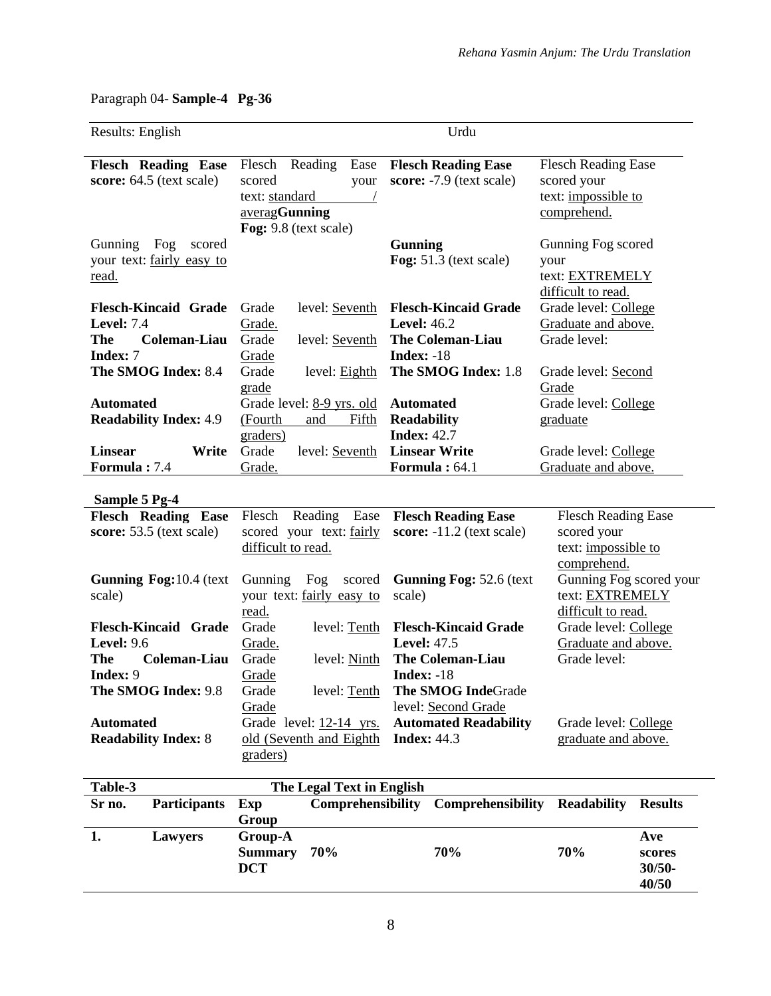$\overline{\phantom{0}}$ 

# Paragraph 04- **Sample-4 Pg-36**

| Results: English               |                                     |                   | Urdu                            |                                      |
|--------------------------------|-------------------------------------|-------------------|---------------------------------|--------------------------------------|
| <b>Flesch Reading Ease</b>     | Reading<br>Flesch                   | Ease              | <b>Flesch Reading Ease</b>      | <b>Flesch Reading Ease</b>           |
| score: 64.5 (text scale)       | scored                              | your              | score: -7.9 (text scale)        | scored your                          |
|                                | text: standard                      |                   |                                 | text: impossible to                  |
|                                | averagGunning                       |                   |                                 | comprehend.                          |
|                                | Fog: 9.8 (text scale)               |                   |                                 |                                      |
| Fog<br>Gunning<br>scored       |                                     |                   | <b>Gunning</b>                  | Gunning Fog scored                   |
| your text: fairly easy to      |                                     |                   | Fog: 51.3 (text scale)          | your                                 |
| <u>read.</u>                   |                                     |                   |                                 | text: EXTREMELY                      |
|                                |                                     |                   |                                 | difficult to read.                   |
| <b>Flesch-Kincaid Grade</b>    | Grade<br>level: Seventh             |                   | <b>Flesch-Kincaid Grade</b>     | Grade level: College                 |
| <b>Level: 7.4</b>              | Grade.                              |                   | <b>Level: 46.2</b>              | Graduate and above.                  |
| Coleman-Liau<br><b>The</b>     | Grade<br>level: Seventh             |                   | <b>The Coleman-Liau</b>         | Grade level:                         |
| <b>Index: 7</b>                | Grade                               |                   | Index: $-18$                    |                                      |
| The SMOG Index: 8.4            | Grade                               | level: Eighth     | The SMOG Index: 1.8             | Grade level: Second                  |
|                                | grade                               |                   |                                 | Grade                                |
| <b>Automated</b>               | Grade level: 8-9 yrs. old           |                   | <b>Automated</b>                | Grade level: College                 |
| <b>Readability Index: 4.9</b>  | (Fourth<br>and                      | Fifth             | <b>Readability</b>              | graduate                             |
|                                | graders)                            |                   | <b>Index: 42.7</b>              |                                      |
| <b>Linsear</b><br>Write        | Grade<br>level: Seventh             |                   | <b>Linsear Write</b>            | Grade level: College                 |
| Formula: 7.4                   | Grade.                              |                   | Formula: 64.1                   | Graduate and above.                  |
| Sample 5 Pg-4                  |                                     |                   |                                 |                                      |
| <b>Flesch Reading Ease</b>     | Flesch Reading                      | Ease              | <b>Flesch Reading Ease</b>      | <b>Flesch Reading Ease</b>           |
| score: 53.5 (text scale)       | scored your text: fairly            |                   | score: $-11.2$ (text scale)     | scored your                          |
|                                | difficult to read.                  |                   |                                 | text: impossible to                  |
|                                |                                     |                   |                                 | comprehend.                          |
| <b>Gunning Fog:10.4 (text)</b> | Gunning<br>Fog                      | scored            | <b>Gunning Fog: 52.6 (text)</b> | Gunning Fog scored your              |
| scale)                         | your text: fairly easy to           |                   | scale)                          |                                      |
|                                |                                     |                   |                                 | text: EXTREMELY                      |
|                                | read.                               |                   |                                 | difficult to read.                   |
| <b>Flesch-Kincaid Grade</b>    | Grade                               | level: Tenth      | <b>Flesch-Kincaid Grade</b>     | Grade level: College                 |
| <b>Level: 9.6</b>              | Grade.                              |                   | <b>Level: 47.5</b>              | Graduate and above.                  |
| Coleman-Liau<br>The            | Grade                               | level: Ninth      | <b>The Coleman-Liau</b>         | Grade level:                         |
| Index: 9                       | Grade                               |                   | <b>Index: -18</b>               |                                      |
| The SMOG Index: 9.8            | Grade                               | level: Tenth      | The SMOG IndeGrade              |                                      |
|                                | Grade                               |                   | level: Second Grade             |                                      |
| <b>Automated</b>               | Grade level: 12-14 yrs.             |                   | <b>Automated Readability</b>    | Grade level: College                 |
| <b>Readability Index: 8</b>    | old (Seventh and Eighth             |                   | <b>Index: 44.3</b>              | graduate and above.                  |
|                                | graders)                            |                   |                                 |                                      |
|                                |                                     |                   |                                 |                                      |
| Table-3                        | The Legal Text in English           |                   |                                 |                                      |
| Sr no.<br>Participants         | Exp                                 | Comprehensibility | Comprehensibility               | <b>Readability</b><br><b>Results</b> |
|                                | Group                               |                   |                                 |                                      |
| 1.<br>Lawyers                  | Group-A                             |                   |                                 | Ave                                  |
|                                | <b>Summary</b><br>70%<br><b>DCT</b> |                   | 70%                             | 70%<br>scores<br>$30/50 -$           |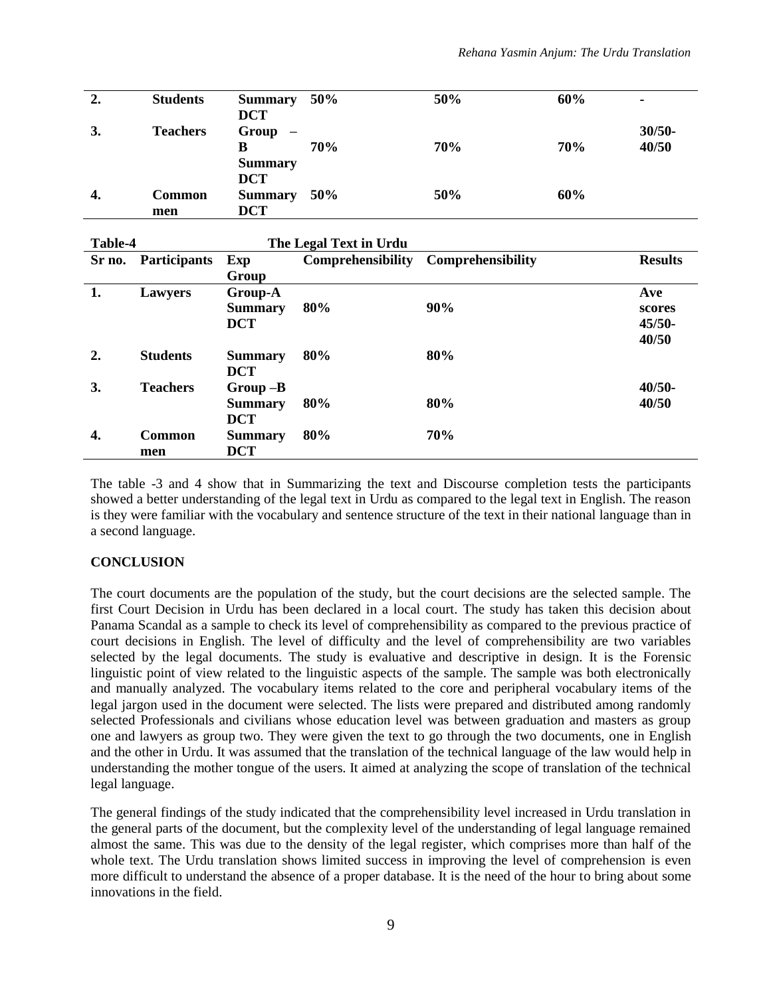| 2. | <b>Students</b> | <b>Summary</b>                    | 50% | 50% | 60% | ٠         |
|----|-----------------|-----------------------------------|-----|-----|-----|-----------|
|    |                 | <b>DCT</b>                        |     |     |     |           |
| 3. | <b>Teachers</b> | Group<br>$\overline{\phantom{m}}$ |     |     |     | $30/50 -$ |
|    |                 | в                                 | 70% | 70% | 70% | 40/50     |
|    |                 | <b>Summary</b>                    |     |     |     |           |
|    |                 | <b>DCT</b>                        |     |     |     |           |
|    |                 |                                   |     | 50% | 60% |           |
| 4. | Common          | <b>Summary</b>                    | 50% |     |     |           |
|    | men             | <b>DCT</b>                        |     |     |     |           |

| Table-4          |                     |                | The Legal Text in Urdu |                          |                |
|------------------|---------------------|----------------|------------------------|--------------------------|----------------|
| Sr no.           | <b>Participants</b> | Exp            | Comprehensibility      | <b>Comprehensibility</b> | <b>Results</b> |
|                  |                     | Group          |                        |                          |                |
| 1.               | <b>Lawyers</b>      | Group-A        |                        |                          | Ave            |
|                  |                     | <b>Summary</b> | 80%                    | 90%                      | scores         |
|                  |                     | <b>DCT</b>     |                        |                          | $45/50-$       |
|                  |                     |                |                        |                          | 40/50          |
| $\overline{2}$ . | <b>Students</b>     | <b>Summary</b> | 80%                    | 80%                      |                |
|                  |                     | <b>DCT</b>     |                        |                          |                |
| 3.               | <b>Teachers</b>     | $Group-B$      |                        |                          | $40/50 -$      |
|                  |                     | <b>Summary</b> | 80%                    | 80%                      | 40/50          |
|                  |                     | <b>DCT</b>     |                        |                          |                |
| 4.               | <b>Common</b>       | <b>Summary</b> | 80%                    | 70%                      |                |
|                  | men                 | <b>DCT</b>     |                        |                          |                |

The table -3 and 4 show that in Summarizing the text and Discourse completion tests the participants showed a better understanding of the legal text in Urdu as compared to the legal text in English. The reason is they were familiar with the vocabulary and sentence structure of the text in their national language than in a second language.

#### **CONCLUSION**

The court documents are the population of the study, but the court decisions are the selected sample. The first Court Decision in Urdu has been declared in a local court. The study has taken this decision about Panama Scandal as a sample to check its level of comprehensibility as compared to the previous practice of court decisions in English. The level of difficulty and the level of comprehensibility are two variables selected by the legal documents. The study is evaluative and descriptive in design. It is the Forensic linguistic point of view related to the linguistic aspects of the sample. The sample was both electronically and manually analyzed. The vocabulary items related to the core and peripheral vocabulary items of the legal jargon used in the document were selected. The lists were prepared and distributed among randomly selected Professionals and civilians whose education level was between graduation and masters as group one and lawyers as group two. They were given the text to go through the two documents, one in English and the other in Urdu. It was assumed that the translation of the technical language of the law would help in understanding the mother tongue of the users. It aimed at analyzing the scope of translation of the technical legal language.

The general findings of the study indicated that the comprehensibility level increased in Urdu translation in the general parts of the document, but the complexity level of the understanding of legal language remained almost the same. This was due to the density of the legal register, which comprises more than half of the whole text. The Urdu translation shows limited success in improving the level of comprehension is even more difficult to understand the absence of a proper database. It is the need of the hour to bring about some innovations in the field.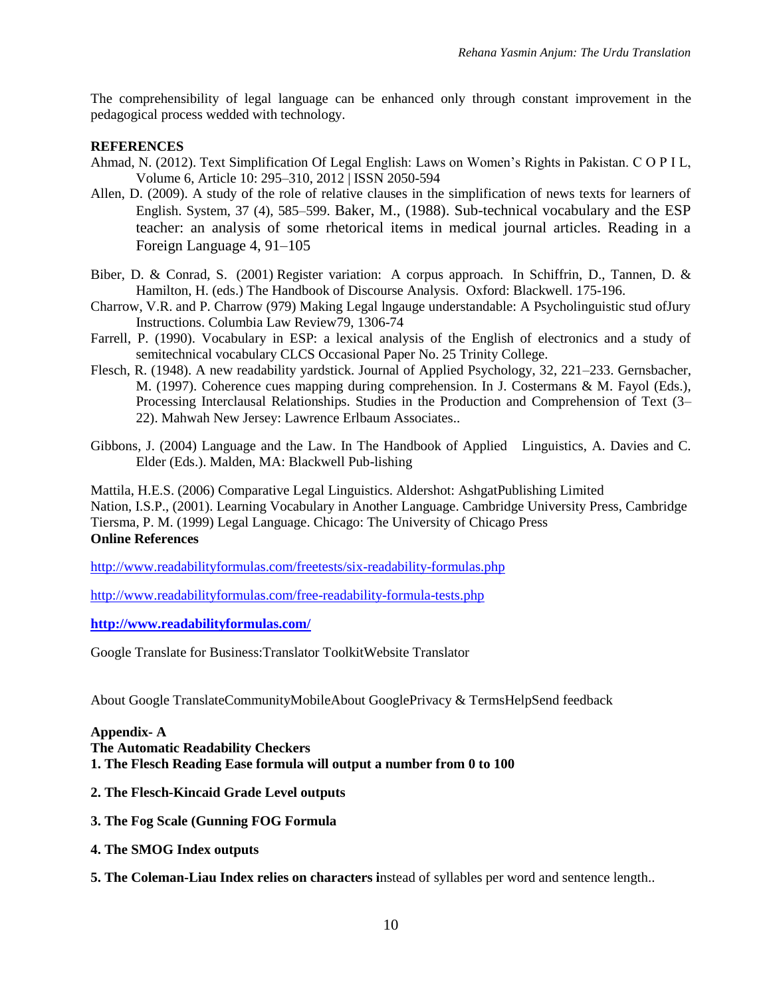The comprehensibility of legal language can be enhanced only through constant improvement in the pedagogical process wedded with technology.

#### **REFERENCES**

- Ahmad, N. (2012). Text Simplification Of Legal English: Laws on Women's Rights in Pakistan. C O P I L, Volume 6, Article 10: 295–310, 2012 | ISSN 2050-594
- Allen, D. (2009). A study of the role of relative clauses in the simplification of news texts for learners of English. System, 37 (4), 585–599. Baker, M., (1988). Sub-technical vocabulary and the ESP teacher: an analysis of some rhetorical items in medical journal articles. Reading in a Foreign Language 4, 91–105
- Biber, D. & Conrad, S. (2001) Register variation: A corpus approach. In Schiffrin, D., Tannen, D. & Hamilton, H. (eds.) The Handbook of Discourse Analysis. Oxford: Blackwell. 175-196.
- Charrow, V.R. and P. Charrow (979) Making Legal lngauge understandable: A Psycholinguistic stud ofJury Instructions. Columbia Law Review79, 1306-74
- Farrell, P. (1990). Vocabulary in ESP: a lexical analysis of the English of electronics and a study of semitechnical vocabulary CLCS Occasional Paper No. 25 Trinity College.
- Flesch, R. (1948). A new readability yardstick. Journal of Applied Psychology, 32, 221–233. Gernsbacher, M. (1997). Coherence cues mapping during comprehension. In J. Costermans & M. Fayol (Eds.), Processing Interclausal Relationships. Studies in the Production and Comprehension of Text (3– 22). Mahwah New Jersey: Lawrence Erlbaum Associates..
- Gibbons, J. (2004) Language and the Law. In The Handbook of Applied Linguistics, A. Davies and C. Elder (Eds.). Malden, MA: Blackwell Pub-lishing

Mattila, H.E.S. (2006) Comparative Legal Linguistics. Aldershot: AshgatPublishing Limited Nation, I.S.P., (2001). Learning Vocabulary in Another Language. Cambridge University Press, Cambridge Tiersma, P. M. (1999) Legal Language. Chicago: The University of Chicago Press **Online References**

<http://www.readabilityformulas.com/freetests/six-readability-formulas.php>

<http://www.readabilityformulas.com/free-readability-formula-tests.php>

**<http://www.readabilityformulas.com/>**

Google Translate for Business:Translator ToolkitWebsite Translator

About Google TranslateCommunityMobileAbout GooglePrivacy & TermsHelpSend feedback

#### **Appendix- A**

**The Automatic Readability Checkers**

- **1. The Flesch Reading Ease formula will output a number from 0 to 100**
- **2. The Flesch-Kincaid Grade Level outputs**
- **3. The Fog Scale (Gunning FOG Formula**
- **4. The SMOG Index outputs**
- **5. The Coleman-Liau Index relies on characters i**nstead of syllables per word and sentence length..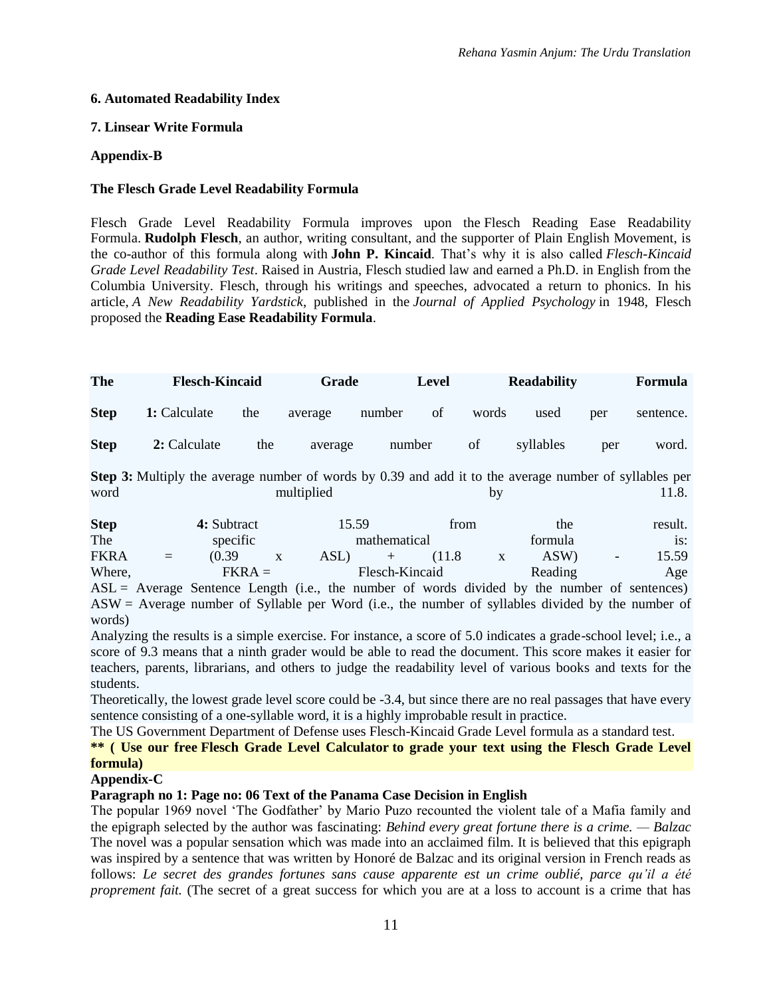## **6. Automated Readability Index**

## **7. Linsear Write Formula**

## **Appendix-B**

#### **The Flesch Grade Level Readability Formula**

Flesch Grade Level Readability Formula improves upon the [Flesch Reading Ease Readability](http://www.readabilityformulas.com/flesch-reading-ease-readability-formula.php)  [Formula.](http://www.readabilityformulas.com/flesch-reading-ease-readability-formula.php) **Rudolph Flesch**, an author, writing consultant, and the supporter of Plain English Movement, is the co-author of this formula along with **John P. Kincaid**. That's why it is also called *Flesch-Kincaid Grade Level Readability Test*. Raised in Austria, Flesch studied law and earned a Ph.D. in English from the Columbia University. Flesch, through his writings and speeches, advocated a return to phonics. In his article, *A New Readability Yardstick*, published in the *Journal of Applied Psychology* in 1948, Flesch proposed the **Reading Ease Readability Formula**.

| The         | <b>Flesch-Kincaid</b> |     | Grade   |        | Level         |       | <b>Readability</b> |     | Formula   |
|-------------|-----------------------|-----|---------|--------|---------------|-------|--------------------|-----|-----------|
| <b>Step</b> | 1: Calculate          | the | average | number | <sub>of</sub> | words | used               | per | sentence. |
| <b>Step</b> | 2: Calculate          | the | average |        | number        | of    | syllables          | per | word.     |

**Step 3:** Multiply the average number of words by 0.39 and add it to the average number of syllables per word multiplied by 11.8.

| <b>Step</b> |     | 4: Subtract                |  |      | 15.59<br>from |         |  | the     |        | result. |
|-------------|-----|----------------------------|--|------|---------------|---------|--|---------|--------|---------|
| The         |     | specific                   |  |      | mathematical  |         |  | formula |        | is:     |
| <b>FKRA</b> | $=$ | (0.39)                     |  | ASL) | $-+$ $-$      | (11.8)  |  | ASW)    | $\sim$ | 15.59   |
| Where,      |     | Flesch-Kincaid<br>$FKRA =$ |  |      |               | Reading |  | Age     |        |         |

 $ASL =$  Average Sentence Length (i.e., the number of words divided by the number of sentences) ASW = Average number of Syllable per Word (i.e., the number of syllables divided by the number of words)

Analyzing the results is a simple exercise. For instance, a score of 5.0 indicates a grade-school level; i.e., a score of 9.3 means that a ninth grader would be able to read the document. This score makes it easier for teachers, parents, librarians, and others to judge the readability level of various books and texts for the students.

Theoretically, the lowest grade level score could be -3.4, but since there are no real passages that have every sentence consisting of a one-syllable word, it is a highly improbable result in practice.

The US Government Department of Defense uses Flesch-Kincaid Grade Level formula as a standard test.

**\*\* ( Use our free [Flesch Grade Level Calculator](http://www.readabilityformulas.com/free-readability-formula-tests.php) to grade your text using the Flesch Grade Level formula)**

#### **Appendix-C**

#### **Paragraph no 1: Page no: 06 Text of the Panama Case Decision in English**

The popular 1969 novel 'The Godfather' by Mario Puzo recounted the violent tale of a Mafia family and the epigraph selected by the author was fascinating: *Behind every great fortune there is a crime. — Balzac*  The novel was a popular sensation which was made into an acclaimed film. It is believed that this epigraph was inspired by a sentence that was written by Honoré de Balzac and its original version in French reads as follows: *Le secret des grandes fortunes sans cause apparente est un crime oublié, parce qu'il a été proprement fait.* (The secret of a great success for which you are at a loss to account is a crime that has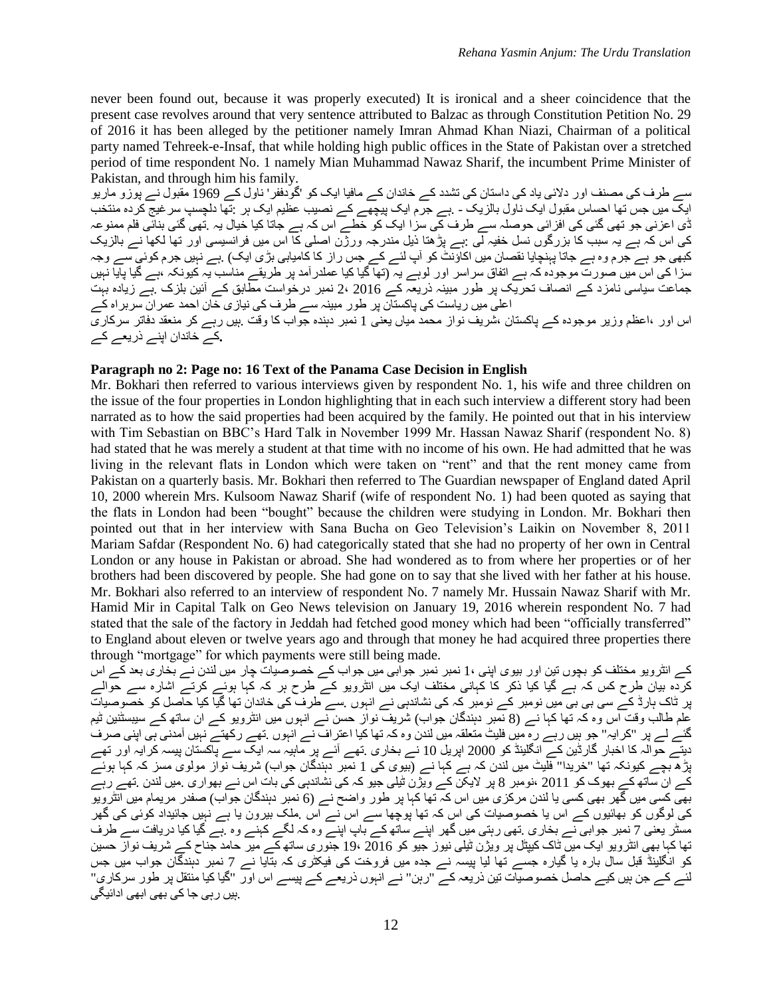never been found out, because it was properly executed) It is ironical and a sheer coincidence that the present case revolves around that very sentence attributed to Balzac as through Constitution Petition No. 29 of 2016 it has been alleged by the petitioner namely Imran Ahmad Khan Niazi, Chairman of a political party named Tehreek-e-Insaf, that while holding high public offices in the State of Pakistan over a stretched period of time respondent No. 1 namely Mian Muhammad Nawaz Sharif, the incumbent Prime Minister of Pakistan, and through him his family.

سے طرف کی مصنف اور دالئی یاد کی داستان کی تشدد کے خاندان کے مافیا ایک کو 'گودففر' ناول کے 1969 مقبول نے پوزو ماریو ایک میں جس تھا احساس مقبول ایک ناول بالزیک - .ہے جرم ایک پیچھے کے نصیب عظیم ایک ہر :تھا دلچسپ سرغیج کردہ منتخب ڈی اعزنی جو تھی گئی کی افزائی حوصلہ سے طرف کی سزا ایک کو خطے اس کہ ہے جاتا کیا خیال یہ .تھی گئی بنائی فلم ممنوعہ کی اس کہ ہے یہ سبب کا بزرگوں نسل خفیہ لی :ہے پڑھتا ذیل مندرجہ ورژن اصلی کا اس میں فرانسیسی اور تھا لکھا نے بالزیک کبھی جو ہے جرم وہ ہے جاتا پہنچایا نقصان میں اکاؤنٹ کو آپ لئے کے جس راز کا کامیابی بڑی ایک) .ہے نہیں جرم کوئی سے وجہ سزا کی اس میں صورت موجودہ کہ ہے اتفاق سراسر اور لوہے یہ (تھا گیا کیا عملدرآمد پر طریقے مناسب یہ کیونکہ ،ہے گیا پایا نہیں جماعت سیاسی نامزد کے انصاف تحریک پر طور مبینہ ذریعہ کے 2016 2، نمبر درخواست مطابق کے آئین بلزک .ہے زیادہ بہت اعلی میں ریاست کی پاکستان پر طور مبینہ سے طرف کی نیازی خان احمد عمران سربراہ کے اس اور ،اعظم وزیر موجودہ کے پاکستان ،شریف نواز محمد میاں یعنی 1 نمبر دہندہ جواب کا وقت .ہیں رہے کر منعقد دفاتر سرکاری **.**کے خاندان اپنے ذریعے کے

#### **Paragraph no 2: Page no: 16 Text of the Panama Case Decision in English**

Mr. Bokhari then referred to various interviews given by respondent No. 1, his wife and three children on the issue of the four properties in London highlighting that in each such interview a different story had been narrated as to how the said properties had been acquired by the family. He pointed out that in his interview with Tim Sebastian on BBC's Hard Talk in November 1999 Mr. Hassan Nawaz Sharif (respondent No. 8) had stated that he was merely a student at that time with no income of his own. He had admitted that he was living in the relevant flats in London which were taken on "rent" and that the rent money came from Pakistan on a quarterly basis. Mr. Bokhari then referred to The Guardian newspaper of England dated April 10, 2000 wherein Mrs. Kulsoom Nawaz Sharif (wife of respondent No. 1) had been quoted as saying that the flats in London had been "bought" because the children were studying in London. Mr. Bokhari then pointed out that in her interview with Sana Bucha on Geo Television's Laikin on November 8, 2011 Mariam Safdar (Respondent No. 6) had categorically stated that she had no property of her own in Central London or any house in Pakistan or abroad. She had wondered as to from where her properties or of her brothers had been discovered by people. She had gone on to say that she lived with her father at his house. Mr. Bokhari also referred to an interview of respondent No. 7 namely Mr. Hussain Nawaz Sharif with Mr. Hamid Mir in Capital Talk on Geo News television on January 19, 2016 wherein respondent No. 7 had stated that the sale of the factory in Jeddah had fetched good money which had been "officially transferred" to England about eleven or twelve years ago and through that money he had acquired three properties there through "mortgage" for which payments were still being made.

کے انٹرویو مختلف کو بچوں تین اور بیوی اپنی 1، نمبر نمبر جوابی میں جواب کے خصوصیات چار میں لندن نے بخاری بعد کے اس کردہ بیان طرح کس کہ ہے گیا کیا ذکر کا کہانی مختلف ایک میں انٹرویو کے طرح ہر کہ کہا ہوئے کرتے اشارہ سے حوالے پر ٹاک ہارڈ کے سی بی بی میں نومبر کے نومبر کہ کی نشاندہی نے انہوں .سے طرف کی خاندان تھا گیا کیا حاصل کو خصوصیات علم طالب وقت اس وہ کہ تھا کہا نے (8 نمبر دہندگان جواب) شریف نواز حسن نے انہوں میں انٹرویو کے ان ساتھ کے سیبسٹنین ٹیم گئے لے پر "کرایہ" جو ہیں رہے رہ میں فلیٹ متعلقہ میں لندن وہ کہ تھا کیا اعتراف نے انہوں .تھے رکھتے نہیں آمدنی ہی اپنی صرف دیتے حوالہ کا اخبار گارڈین کے انگلینڈ کو 2000 اپریل 10 نے بخاری .تھے آئے پر ماہیہ سہ ایک سے پاکستان پیسہ کرایہ اور تھے پڑھ بچے کیونکہ تھا "خریدا" فلیٹ میں لندن کہ ہے کہا نے (بیوی کی 1 نمبر دہندگان جواب) شریف نواز مولوی مسز کہ کہا ہوئے کے ان ساتھ کے بھوک کو 2011 ،نومبر 8 پر الیکن کے ویژن ٹیلی جیو کہ کی نشاندہی کی بات اس نے بھواری .میں لندن .تھے رہے بھی کسی میں گھر بھی کسی یا لندن مرکزی میں اس کہ تھا کہا پر طور واضح نے (6 نمبر دہندگان جواب) صفدر مریمام میں انٹرویو کی لوگوں کو بھائیوں کے اس یا خصوصیات کی اس کہ تھا پوچھا سے اس نے اس .ملک بیرون یا ہے نہیں جائیداد کوئی کی گھر مسٹر یعنی 7 نمبر جوابی نے بخاری .تھی رہتی میں گھر اپنے ساتھ کے باپ اپنے وہ کہ لگے کہنے وہ .ہے گیا کیا دریافت سے طرف تھا کہا بھی انٹرویو ایک میں ٹاک کیپٹل پر ویژن ٹیلی نیوز جیو کو 2016 19، جنوری ساتھ کے میر حامد جناح کے شریف نواز حسین کو انگلینڈ قبل سال بارہ یا گیارہ جسے تھا لیا پیسہ نے جدہ میں فروخت کی فیکٹری کہ بتایا نے 7 نمبر دہندگان جواب میں جس لئے کے جن ہیں کیے حاصل خصوصیات تین ذریعہ کے "رہن" نے انہوں ذریعے کے پیسے اس اور "گیا کیا منتقل پر طور سرکاری" .ہیں رہی جا کی بھی ابھی ادائیگی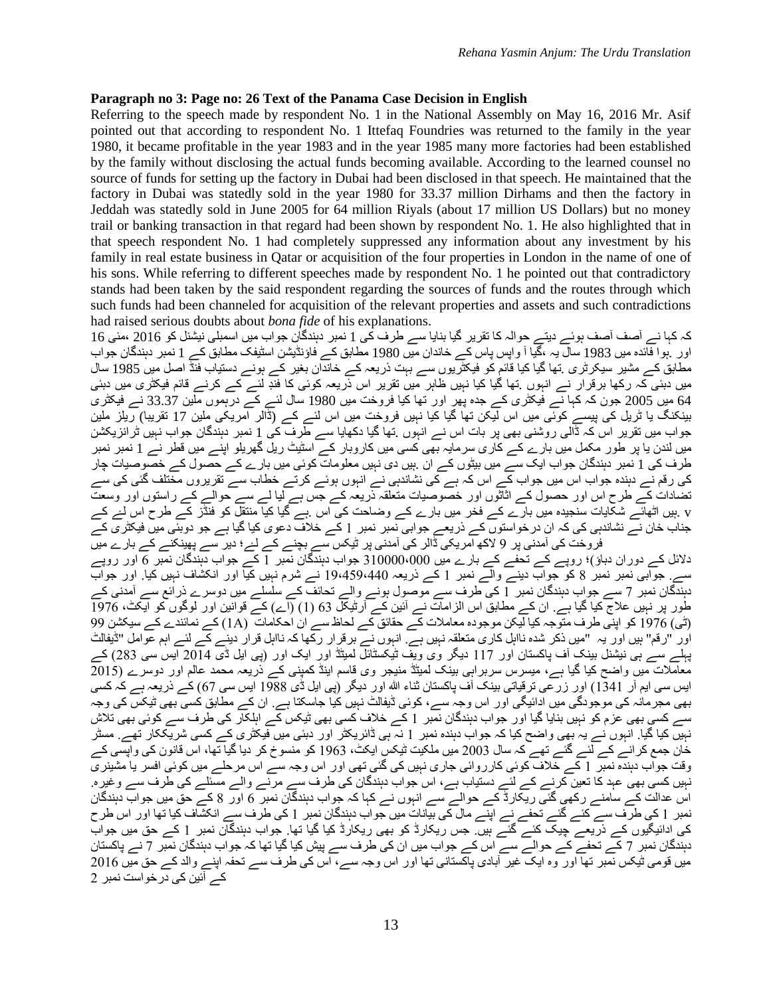#### **Paragraph no 3: Page no: 26 Text of the Panama Case Decision in English**

Referring to the speech made by respondent No. 1 in the National Assembly on May 16, 2016 Mr. Asif pointed out that according to respondent No. 1 Ittefaq Foundries was returned to the family in the year 1980, it became profitable in the year 1983 and in the year 1985 many more factories had been established by the family without disclosing the actual funds becoming available. According to the learned counsel no source of funds for setting up the factory in Dubai had been disclosed in that speech. He maintained that the factory in Dubai was statedly sold in the year 1980 for 33.37 million Dirhams and then the factory in Jeddah was statedly sold in June 2005 for 64 million Riyals (about 17 million US Dollars) but no money trail or banking transaction in that regard had been shown by respondent No. 1. He also highlighted that in that speech respondent No. 1 had completely suppressed any information about any investment by his family in real estate business in Qatar or acquisition of the four properties in London in the name of one of his sons. While referring to different speeches made by respondent No. 1 he pointed out that contradictory stands had been taken by the said respondent regarding the sources of funds and the routes through which such funds had been channeled for acquisition of the relevant properties and assets and such contradictions had raised serious doubts about *bona fide* of his explanations.

کہ کہا نے آصف آصف ہوئے دیتے حوالہ کا تقریر گیا بنایا سے طرف کی 1 نمبر دہندگان جواب میں اسمبلی نیشنل کو 2016 ،مئی 16 اور .ہوا فائدہ میں 1983 سال یہ ،گیا آ واپس پاس کے خاندان میں 1980 مطابق کے فاؤنڈیشن اسٹیفک مطابق کے 1 نمبر دہندگان جواب مطابق کے مشیر سیکرٹری .تھا گیا کیا قائم کو فیکٹریوں سے بہت ذریعہ کے خاندان بغیر کے ہونے دستیاب فنڈ اصل میں 1985 سال میں دبئی کہ رکھا برقرار نے انہوں .تھا گیا کیا نہیں ظاہر میں تقریر اس ذریعہ کوئی کا فنڊ لئے کے کرنے قائم فیکٹری میں دبئی 64 میں 2005 جون کہ کہا نے فیکٹری کے جدہ پھر اور تھا کیا فروخت میں 1980 سال لئے کے درہموں ملین 33.37 نے فیکٹری بینکنگ یا ٹریل کی پیسے کوئی میں اس لیکن تھا گیا کیا نہیں فروخت میں اس لئے کے (ڈالر امریکی ملین 17 تقریبا) ریلز ملین جواب میں تقریر اس کہ ڈالی روشنی بھی پر بات اس نے انہوں .تھا گیا دکھایا سے طرف کی 1 نمبر دہندگان جواب نہیں ٹرانزیکشن میں لندن یا پر طور مکمل میں بارے کے کاری سرمایہ بھی کسی میں کاروبار کے اسٹیٹ ریل گھریلو اپنے میں قطر نے 1 نمبر نمبر طرف کی 1 نمبر دہندگان جواب ایک سے میں بیٹوں کے ان .ہیں دی نہیں معلومات کوئی میں بارے کے حصول کے خصوصیات چار کی رقم نے دہندہ جواب اس میں جواب کے اس کہ ہے کی نشاندہی نے انہوں ہوئے کرتے خطاب سے تقریروں مختلف گئی کی سے تضادات کے طرح اس اور حصول کے اثاثوں اور خصوصیات متعلقہ ذریعہ کے جس ہے لیا لے سے حوالے کے راستوں اور وسعت v .ہیں اٹھائے شکایات سنجیدہ میں بارے کے فخر میں بارے کے وضاحت کی اس .ہے گیا کیا منتقل کو فنڈز کے طرح اس لۓ کے جناب خان نے نشاندہی کی کہ ان درخواستوں کے ذریعے جوابی نمبر نمبر 1 کے خالف دعوی کیا گیا ہے جو دوبئی میں فیکٹری کے فروخت کی آمدنی پر 9 الکھ امریکی ڈالر کی آمدنی پر ٹیکس سے بچنے کے لۓ؛ دیر سے پھینکنے کے بارے میں

دالئل کے دوران دباؤ)؛ روپے کے تحفے کے بارے میں 310000،000 جواب دہندگان نمبر 1 کے جواب دہندگان نمبر 6 اور روپے سے. جوابی نمبر نمبر 8 کو جواب دینے والے نمبر 1 کے ذریعہ 19،459،440 نے شرم نہیں کیا اور انکشاف نہیں کیا. اور جواب دہندگان نمبر 7 سے جواب دہندگان نمبر 1 کی طرف سے موصول ہونے والے تحائف کے سلسلے میں دوسرے ذرائع سے آمدنی کے طور پر نہیں عالج کیا گیا ہے. ان کے مطابق اس الزامات نے آئین کے آرٹیکل 63 (1) (اے) کے قوانین اور لوگوں کو ایکٹ، 1976 (ٹی) 1976 کو اپنی طرف متوجہ کیا لیکن موجودہ معامالت کے حقائق کے لحاظ سے ان احکامات (A1 (کے نمائندے کے سیکشن 99 اور "رقم" ہیں اور یہ "میں ذکر شدہ نااہل کاری متعلقہ نہیں ہے. انہوں نے برقرار رکھا کہ نااہل قرار دینے کے لئے اہم عوامل "ڈیفالٹ پہلے سے ہی نیشنل بینک آف پاکستان اور 117 دیگر وی ویف ٹیکسٹائل لمیٹڈ اور ایک اور (پی ایل ڈی 2014 ایس سی 283) کے معامالت میں واضح کیا گیا ہے، میسرس سربراہی بینک لمیٹڈ منیجر وی قاسم اینڈ کمپنی کے ذریعہ محمد عالم اور دوسرے (2015 ایس سی ایم آر 1341) اور زرعی ترقیاتی بینک آف پاکستان ثناء ہللا اور دیگر (پی ایل ڈی 1988 ایس سی 67) کے ذریعہ ہے کہ کسی بھی مجرمانہ کی موجودگی میں ادائیگی اور اس وجہ سے، کوئی ڈیفالٹ نہیں کیا جاسکتا ہے. ان کے مطابق کسی بھی ٹیکس کی وجہ سے کسی بھی عزم کو نہیں بنایا گیا اور جواب دہندگان نمبر 1 کے خالف کسی بھی ٹیکس کے اہلکار کی طرف سے کوئی بھی تالش نہیں کیا گیا. انہوں نے یہ بھی واضح کیا کہ جواب دہندہ نمبر 1 نہ ہی ڈائریکٹر اور دبئی میں فیکٹری کے کسی شریککار تھے. مسٹر خان جمع کرانے کے لئے گئے تھے کہ سال 2003 میں ملکیت ٹیکس ایکٹ، 1963 کو منسوخ کر دیا گیا تھا، اس قانون کی واپسی کے وقت جواب دہندہ نمبر 1 کے خالف کوئی کارروائی جاری نہیں کی گئی تھی اور اس وجہ سے اس مرحلے میں کوئی افسر یا مشینری نہیں کسی بھی عہد کا تعین کرنے کے لئے دستیاب ہے، اس جواب دہندگان کی طرف سے مرنے والے مسئلے کی طرف سے وغیرہ. اس عدالت کے سامنے رکھی گئی ریکارڈ کے حوالے سے انہوں نے کہا کہ جواب دہندگان نمبر 6 اور 8 کے حق میں جواب دہندگان نمبر 1 کی طرف سے کئے گئے تحفے نے اپنے مال کی بیانات میں جواب دہندگان نمبر 1 کی طرف سے انکشاف کیا تھا اور اس طرح کی ادائیگیوں کے ذریعے چیک کئے گئے ہیں. جس ریکارڈ کو بھی ریکارڈ کیا گیا تھا. جواب دہندگان نمبر 1 کے حق میں جواب دہندگان نمبر 7 کے تحفے کے حوالے سے اس کے جواب میں ان کی طرف سے پیش کیا گیا تھا کہ جواب دہندگان نمبر 7 نے پاکستان میں قومی ٹیکس نمبر تھا اور وہ ایک غیر آبادی پاکستانی تھا اور اس وجہ سے، اس کی طرف سے تحفہ اپنے والد کے حق میں 2016 کے آئین کی درخواست نمبر 2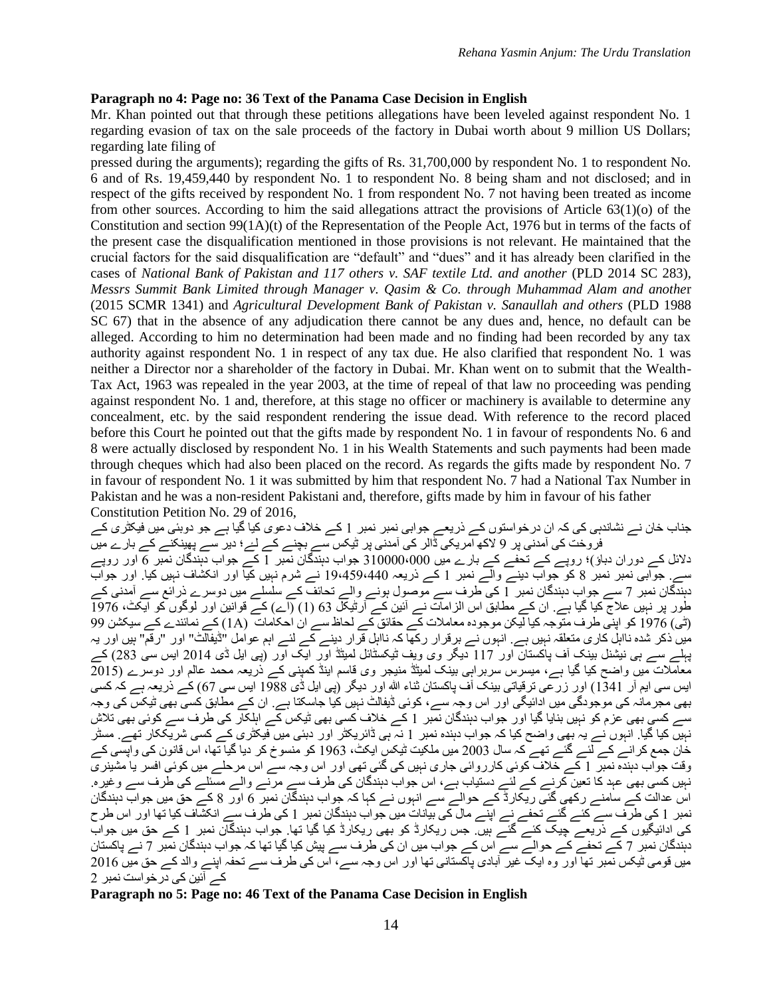#### **Paragraph no 4: Page no: 36 Text of the Panama Case Decision in English**

Mr. Khan pointed out that through these petitions allegations have been leveled against respondent No. 1 regarding evasion of tax on the sale proceeds of the factory in Dubai worth about 9 million US Dollars; regarding late filing of

pressed during the arguments); regarding the gifts of Rs. 31,700,000 by respondent No. 1 to respondent No. 6 and of Rs. 19,459,440 by respondent No. 1 to respondent No. 8 being sham and not disclosed; and in respect of the gifts received by respondent No. 1 from respondent No. 7 not having been treated as income from other sources. According to him the said allegations attract the provisions of Article 63(1)(o) of the Constitution and section 99(1A)(t) of the Representation of the People Act, 1976 but in terms of the facts of the present case the disqualification mentioned in those provisions is not relevant. He maintained that the crucial factors for the said disqualification are "default" and "dues" and it has already been clarified in the cases of *National Bank of Pakistan and 117 others v. SAF textile Ltd. and another* (PLD 2014 SC 283), *Messrs Summit Bank Limited through Manager v. Qasim & Co. through Muhammad Alam and anothe*r (2015 SCMR 1341) and *Agricultural Development Bank of Pakistan v. Sanaullah and others* (PLD 1988 SC 67) that in the absence of any adjudication there cannot be any dues and, hence, no default can be alleged. According to him no determination had been made and no finding had been recorded by any tax authority against respondent No. 1 in respect of any tax due. He also clarified that respondent No. 1 was neither a Director nor a shareholder of the factory in Dubai. Mr. Khan went on to submit that the Wealth-Tax Act, 1963 was repealed in the year 2003, at the time of repeal of that law no proceeding was pending against respondent No. 1 and, therefore, at this stage no officer or machinery is available to determine any concealment, etc. by the said respondent rendering the issue dead. With reference to the record placed before this Court he pointed out that the gifts made by respondent No. 1 in favour of respondents No. 6 and 8 were actually disclosed by respondent No. 1 in his Wealth Statements and such payments had been made through cheques which had also been placed on the record. As regards the gifts made by respondent No. 7 in favour of respondent No. 1 it was submitted by him that respondent No. 7 had a National Tax Number in Pakistan and he was a non-resident Pakistani and, therefore, gifts made by him in favour of his father Constitution Petition No. 29 of 2016,

جناب خان نے نشاندہی کی کہ ان درخواستوں کے ذریعے جوابی نمبر نمبر 1 کے خالف دعوی کیا گیا ہے جو دوبئی میں فیکٹری کے فروخت کی آمدنی پر 9 الکھ امریکی ڈالر کی آمدنی پر ٹیکس سے بچنے کے لۓ؛ دیر سے پھینکنے کے بارے میں دالئل کے دوران دباؤ)؛ روپے کے تحفے کے بارے میں 310000،000 جواب دہندگان نمبر 1 کے جواب دہندگان نمبر 6 اور روپے سے. جوابی نمبر نمبر 8 کو جواب دینے والے نمبر 1 کے ذریعہ 19،459،440 نے شرم نہیں کیا اور انکشاف نہیں کیا. اور جواب دہندگان نمبر 7 سے جواب دہندگان نمبر 1 کی طرف سے موصول ہونے والے تحائف کے سلسلے میں دوسرے ذرائع سے آمدنی کے طور پر نہیں عالج کیا گیا ہے. ان کے مطابق اس الزامات نے آئین کے آرٹیکل 63 (1) (اے) کے قوانین اور لوگوں کو ایکٹ، 1976 (ٹی) 1976 کو اپنی طرف متوجہ کیا لیکن موجودہ معامالت کے حقائق کے لحاظ سے ان احکامات (A1 (کے نمائندے کے سیکشن 99 میں ذکر شدہ نااہل کاری متعلقہ نہیں ہے. انہوں نے برقرار رکھا کہ نااہل قرار دینے کے لئے اہم عوامل "ڈیفالٹ" اور "رقم" ہیں اور یہ پہلے سے ہی نیشنل بینک آف پاکستان اور 117 دیگر وی ویف ٹیکسٹائل لمیٹڈ اور ایک اور (پی ایل ڈی 2014 ایس سی 283) کے معامالت میں واضح کیا گیا ہے، میسرس سربراہی بینک لمیٹڈ منیجر وی قاسم اینڈ کمپنی کے ذریعہ محمد عالم اور دوسرے (2015 ایس سی ایم آر 1341) اور زرعی ترقیاتی بینک آف پاکستان ثناء ہللا اور دیگر (پی ایل ڈی 1988 ایس سی 67) کے ذریعہ ہے کہ کسی بھی مجرمانہ کی موجودگی میں ادائیگی اور اس وجہ سے، کوئی ڈیفالٹ نہیں کیا جاسکتا ہے. ان کے مطابق کسی بھی ٹیکس کی وجہ سے کسی بھی عزم کو نہیں بنایا گیا اور جواب دہندگان نمبر 1 کے خالف کسی بھی ٹیکس کے اہلکار کی طرف سے کوئی بھی تالش نہیں کیا گیا. انہوں نے یہ بھی واضح کیا کہ جواب دہندہ نمبر 1 نہ ہی ڈائریکٹر اور دبئی میں فیکٹری کے کسی شریککار تھے. مسٹر خان جمع کرانے کے لئے گئے تھے کہ سال 2003 میں ملکیت ٹیکس ایکٹ، 1963 کو منسوخ کر دیا گیا تھا، اس قانون کی واپسی کے وقت جواب دہندہ نمبر 1 کے خالف کوئی کارروائی جاری نہیں کی گئی تھی اور اس وجہ سے اس مرحلے میں کوئی افسر یا مشینری نہیں کسی بھی عہد کا تعین کرنے کے لئے دستیاب ہے، اس جواب دہندگان کی طرف سے مرنے والے مسئلے کی طرف سے وغیرہ. اس عدالت کے سامنے رکھی گئی ریکارڈ کے حوالے سے انہوں نے کہا کہ جواب دہندگان نمبر 6 اور 8 کے حق میں جواب دہندگان نمبر 1 کی طرف سے کئے گئے تحفے نے اپنے مال کی بیانات میں جواب دہندگان نمبر 1 کی طرف سے انکشاف کیا تھا اور اس طرح کی ادائیگیوں کے ذریعے چیک کئے گئے ہیں. جس ریکارڈ کو بھی ریکارڈ کیا گیا تھا. جواب دہندگان نمبر 1 کے حق میں جواب دہندگان نمبر 7 کے تحفے کے حوالے سے اس کے جواب میں ان کی طرف سے پیش کیا گیا تھا کہ جواب دہندگان نمبر 7 نے پاکستان میں قومی ٹیکس نمبر تھا اور وہ ایک غیر آبادی پاکستانی تھا اور اس وجہ سے، اس کی طرف سے تحفہ اپنے والد کے حق میں 2016 کے آئین کی درخواست نمبر 2

**Paragraph no 5: Page no: 46 Text of the Panama Case Decision in English**